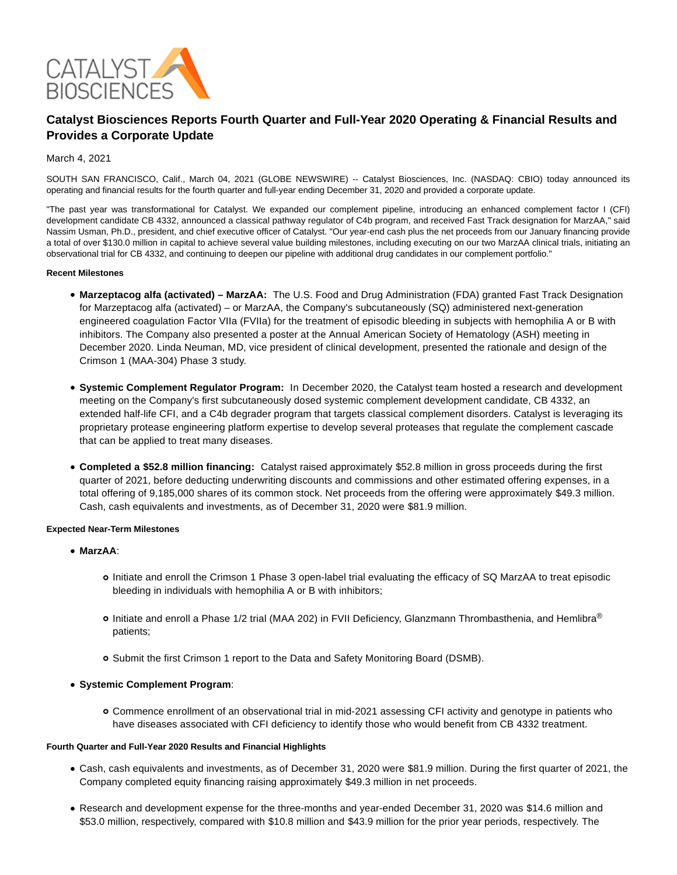

# **Catalyst Biosciences Reports Fourth Quarter and Full-Year 2020 Operating & Financial Results and Provides a Corporate Update**

# March 4, 2021

SOUTH SAN FRANCISCO, Calif., March 04, 2021 (GLOBE NEWSWIRE) -- Catalyst Biosciences, Inc. (NASDAQ: CBIO) today announced its operating and financial results for the fourth quarter and full-year ending December 31, 2020 and provided a corporate update.

"The past year was transformational for Catalyst. We expanded our complement pipeline, introducing an enhanced complement factor I (CFI) development candidate CB 4332, announced a classical pathway regulator of C4b program, and received Fast Track designation for MarzAA," said Nassim Usman, Ph.D., president, and chief executive officer of Catalyst. "Our year-end cash plus the net proceeds from our January financing provide a total of over \$130.0 million in capital to achieve several value building milestones, including executing on our two MarzAA clinical trials, initiating an observational trial for CB 4332, and continuing to deepen our pipeline with additional drug candidates in our complement portfolio."

#### **Recent Milestones**

- **Marzeptacog alfa (activated) MarzAA:** The U.S. Food and Drug Administration (FDA) granted Fast Track Designation for Marzeptacog alfa (activated) – or MarzAA, the Company's subcutaneously (SQ) administered next-generation engineered coagulation Factor VIIa (FVIIa) for the treatment of episodic bleeding in subjects with hemophilia A or B with inhibitors. The Company also presented a poster at the Annual American Society of Hematology (ASH) meeting in December 2020. Linda Neuman, MD, vice president of clinical development, presented the rationale and design of the Crimson 1 (MAA-304) Phase 3 study.
- **Systemic Complement Regulator Program:** In December 2020, the Catalyst team hosted a research and development meeting on the Company's first subcutaneously dosed systemic complement development candidate, CB 4332, an extended half-life CFI, and a C4b degrader program that targets classical complement disorders. Catalyst is leveraging its proprietary protease engineering platform expertise to develop several proteases that regulate the complement cascade that can be applied to treat many diseases.
- **Completed a \$52.8 million financing:** Catalyst raised approximately \$52.8 million in gross proceeds during the first quarter of 2021, before deducting underwriting discounts and commissions and other estimated offering expenses, in a total offering of 9,185,000 shares of its common stock. Net proceeds from the offering were approximately \$49.3 million. Cash, cash equivalents and investments, as of December 31, 2020 were \$81.9 million.

## **Expected Near-Term Milestones**

- **MarzAA**:
	- Initiate and enroll the Crimson 1 Phase 3 open-label trial evaluating the efficacy of SQ MarzAA to treat episodic bleeding in individuals with hemophilia A or B with inhibitors;
	- o Initiate and enroll a Phase 1/2 trial (MAA 202) in FVII Deficiency, Glanzmann Thrombasthenia, and Hemlibra® patients;
	- o Submit the first Crimson 1 report to the Data and Safety Monitoring Board (DSMB).

## **Systemic Complement Program**:

Commence enrollment of an observational trial in mid-2021 assessing CFI activity and genotype in patients who have diseases associated with CFI deficiency to identify those who would benefit from CB 4332 treatment.

## **Fourth Quarter and Full-Year 2020 Results and Financial Highlights**

- Cash, cash equivalents and investments, as of December 31, 2020 were \$81.9 million. During the first quarter of 2021, the Company completed equity financing raising approximately \$49.3 million in net proceeds.
- Research and development expense for the three-months and year-ended December 31, 2020 was \$14.6 million and \$53.0 million, respectively, compared with \$10.8 million and \$43.9 million for the prior year periods, respectively. The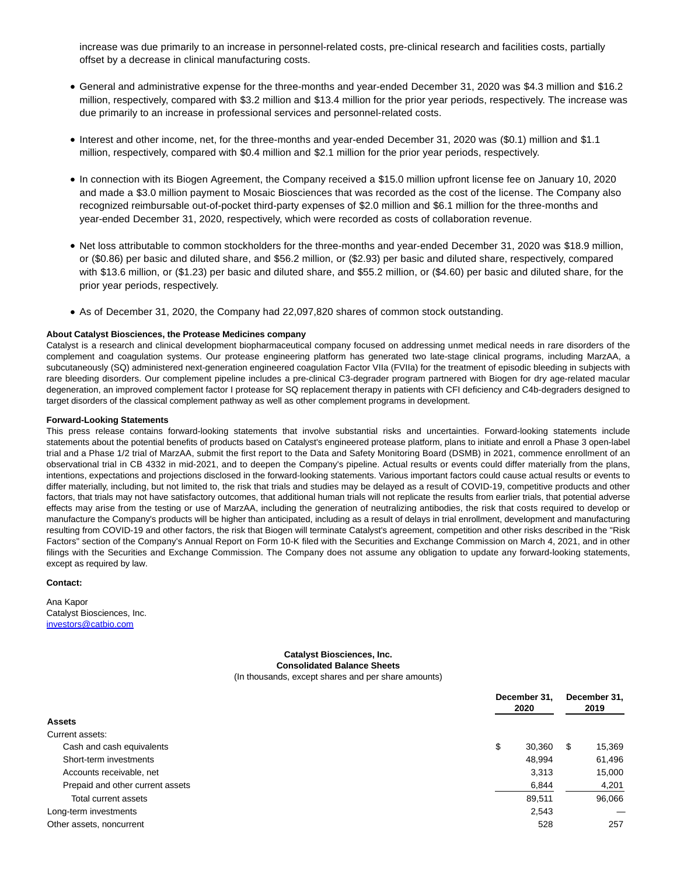increase was due primarily to an increase in personnel-related costs, pre-clinical research and facilities costs, partially offset by a decrease in clinical manufacturing costs.

- General and administrative expense for the three-months and year-ended December 31, 2020 was \$4.3 million and \$16.2 million, respectively, compared with \$3.2 million and \$13.4 million for the prior year periods, respectively. The increase was due primarily to an increase in professional services and personnel-related costs.
- Interest and other income, net, for the three-months and year-ended December 31, 2020 was (\$0.1) million and \$1.1 million, respectively, compared with \$0.4 million and \$2.1 million for the prior year periods, respectively.
- In connection with its Biogen Agreement, the Company received a \$15.0 million upfront license fee on January 10, 2020 and made a \$3.0 million payment to Mosaic Biosciences that was recorded as the cost of the license. The Company also recognized reimbursable out-of-pocket third-party expenses of \$2.0 million and \$6.1 million for the three-months and year-ended December 31, 2020, respectively, which were recorded as costs of collaboration revenue.
- Net loss attributable to common stockholders for the three-months and year-ended December 31, 2020 was \$18.9 million, or (\$0.86) per basic and diluted share, and \$56.2 million, or (\$2.93) per basic and diluted share, respectively, compared with \$13.6 million, or (\$1.23) per basic and diluted share, and \$55.2 million, or (\$4.60) per basic and diluted share, for the prior year periods, respectively.
- As of December 31, 2020, the Company had 22,097,820 shares of common stock outstanding.

## **About Catalyst Biosciences, the Protease Medicines company**

Catalyst is a research and clinical development biopharmaceutical company focused on addressing unmet medical needs in rare disorders of the complement and coagulation systems. Our protease engineering platform has generated two late-stage clinical programs, including MarzAA, a subcutaneously (SQ) administered next-generation engineered coagulation Factor VIIa (FVIIa) for the treatment of episodic bleeding in subjects with rare bleeding disorders. Our complement pipeline includes a pre-clinical C3-degrader program partnered with Biogen for dry age-related macular degeneration, an improved complement factor I protease for SQ replacement therapy in patients with CFI deficiency and C4b-degraders designed to target disorders of the classical complement pathway as well as other complement programs in development.

#### **Forward-Looking Statements**

This press release contains forward-looking statements that involve substantial risks and uncertainties. Forward-looking statements include statements about the potential benefits of products based on Catalyst's engineered protease platform, plans to initiate and enroll a Phase 3 open-label trial and a Phase 1/2 trial of MarzAA, submit the first report to the Data and Safety Monitoring Board (DSMB) in 2021, commence enrollment of an observational trial in CB 4332 in mid-2021, and to deepen the Company's pipeline. Actual results or events could differ materially from the plans, intentions, expectations and projections disclosed in the forward-looking statements. Various important factors could cause actual results or events to differ materially, including, but not limited to, the risk that trials and studies may be delayed as a result of COVID-19, competitive products and other factors, that trials may not have satisfactory outcomes, that additional human trials will not replicate the results from earlier trials, that potential adverse effects may arise from the testing or use of MarzAA, including the generation of neutralizing antibodies, the risk that costs required to develop or manufacture the Company's products will be higher than anticipated, including as a result of delays in trial enrollment, development and manufacturing resulting from COVID-19 and other factors, the risk that Biogen will terminate Catalyst's agreement, competition and other risks described in the "Risk Factors" section of the Company's Annual Report on Form 10-K filed with the Securities and Exchange Commission on March 4, 2021, and in other filings with the Securities and Exchange Commission. The Company does not assume any obligation to update any forward-looking statements, except as required by law.

#### **Contact:**

Ana Kapor Catalyst Biosciences, Inc. [investors@catbio.com](https://www.globenewswire.com/Tracker?data=WFyTmtORylj3lVzsUcMRarEjyYMSfbxEjjdsfITf5TU5KEdGxAUY_IXAVLxBAZoy8_eVDM8Jxo4uLgfd4Sq-UcxZcvihatE87XFQYgE0hPQ44QlOQdZTeKn-hgDTtiP54HRrdF1pBbMBLOlDJq6oJRrECoC7mpLh-e4893kX6fz5w9i5gzdOf6gxg0Fia81T2KQMC61yUAWpdFqMVnjqslU649ulfaFZVa2s2e2hjWetZeLNJbOOznUFljeDtD8IiuAQ06QDUKaILHhIHPBm3w==)

#### **Catalyst Biosciences, Inc. Consolidated Balance Sheets** (In thousands, except shares and per share amounts)

**December 31, 2020 December 31, 2019 Assets** Current assets: Cash and cash equivalents **because the cash of the cash and cash equivalents** of the cash of the cash of the cash of the cash of the cash of the cash of the cash of the cash of the cash of the cash of the cash of the cash Short-term investments 61,496 Accounts receivable, net 15,000 and 15,000 and 15,000 and 15,000 and 15,000 and 15,000 and 15,000 and 15,000 and 15,000 and 15,000 and 15,000 and 15,000 and 15,000 and 15,000 and 15,000 and 15,000 and 15,000 and 15,000 and Prepaid and other current assets 6,844 4,201 Total current assets 89,511 96,066 Long-term investments 2,543 — Other assets, noncurrent 528 257